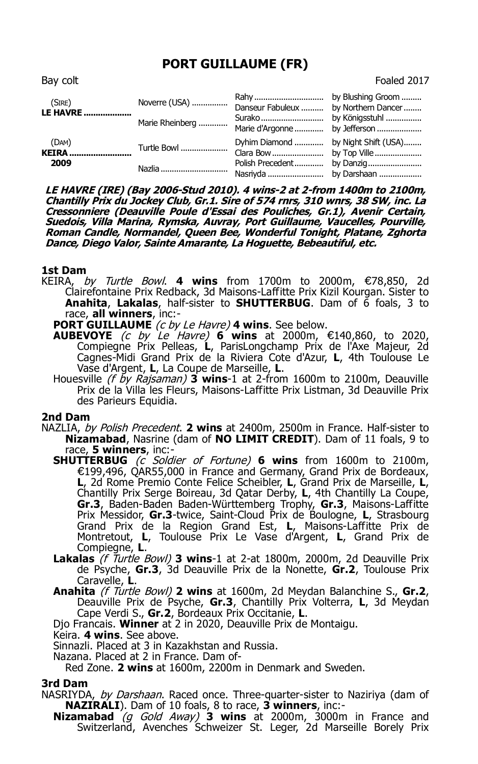# **PORT GUILLAUME (FR)**

Bay colt **Foaled 2017** 

| (SIRE)<br><b>LE HAVRE </b>    | Noverre (USA)<br>Marie Rheinberg | Danseur Fabuleux  by Northern Dancer<br>Marie d'Argonne  by Jefferson |           |
|-------------------------------|----------------------------------|-----------------------------------------------------------------------|-----------|
| (DAM)<br><b>KEIRA</b><br>2009 | Turtle Bowl<br>Nazlia            | Dyhim Diamond  by Night Shift (USA)<br>Polish Precedent               | by Danzig |

**LE HAVRE (IRE) (Bay 2006-Stud 2010). 4 wins-2 at 2-from 1400m to 2100m, Chantilly Prix du Jockey Club, Gr.1. Sire of 574 rnrs, 310 wnrs, 38 SW, inc. La Cressonniere (Deauville Poule d'Essai des Pouliches, Gr.1), Avenir Certain, Suedois, Villa Marina, Rymska, Auvray, Port Guillaume, Vaucelles, Pourville, Roman Candle, Normandel, Queen Bee, Wonderful Tonight, Platane, Zghorta Dance, Diego Valor, Sainte Amarante, La Hoguette, Bebeautiful, etc.**

#### **1st Dam**

KEIRA, by Turtle Bowl. **4 wins** from 1700m to 2000m, €78,850, 2d Clairefontaine Prix Redback, 3d Maisons-Laffitte Prix Kizil Kourgan. Sister to **Anahita**, **Lakalas**, half-sister to **SHUTTERBUG**. Dam of 6 foals, 3 to race, **all winners**, inc:-

## **PORT GUILLAUME** (c by Le Havre) **4 wins**. See below.

- **AUBEVOYE** (c by Le Havre) **6 wins** at 2000m, €140,860, to 2020, Compiegne Prix Pelleas, **L**, ParisLongchamp Prix de l'Axe Majeur, 2d Cagnes-Midi Grand Prix de la Riviera Cote d'Azur, **L**, 4th Toulouse Le Vase d'Argent, **L**, La Coupe de Marseille, **L**.
- Houesville (f by Rajsaman) **3 wins**-1 at 2-from 1600m to 2100m, Deauville Prix de la Villa les Fleurs, Maisons-Laffitte Prix Listman, 3d Deauville Prix des Parieurs Equidia.

#### **2nd Dam**

- NAZLIA, by Polish Precedent. **2 wins** at 2400m, 2500m in France. Half-sister to **Nizamabad**, Nasrine (dam of **NO LIMIT CREDIT**). Dam of 11 foals, 9 to race, **5 winners**, inc:-
	- **SHUTTERBUG** (c Soldier of Fortune) **6 wins** from 1600m to 2100m, €199,496, QAR55,000 in France and Germany, Grand Prix de Bordeaux, **L**, 2d Rome Premio Conte Felice Scheibler, **L**, Grand Prix de Marseille, **L**, Chantilly Prix Serge Boireau, 3d Qatar Derby, **L**, 4th Chantilly La Coupe, **Gr.3**, Baden-Baden Baden-Württemberg Trophy, **Gr.3**, Maisons-Laffitte Prix Messidor, **Gr.3**-twice, Saint-Cloud Prix de Boulogne, **L**, Strasbourg Grand Prix de la Region Grand Est, **L**, Maisons-Laffitte Prix de Montretout, **L**, Toulouse Prix Le Vase d'Argent, **L**, Grand Prix de Compiegne, **L**.
	- **Lakalas** (f Turtle Bowl) **3 wins**-1 at 2-at 1800m, 2000m, 2d Deauville Prix de Psyche, **Gr.3**, 3d Deauville Prix de la Nonette, **Gr.2**, Toulouse Prix Caravelle, **L**.
	- **Anahita** (f Turtle Bowl) **2 wins** at 1600m, 2d Meydan Balanchine S., **Gr.2**, Deauville Prix de Psyche, **Gr.3**, Chantilly Prix Volterra, **L**, 3d Meydan Cape Verdi S., **Gr.2**, Bordeaux Prix Occitanie, **L**.

Djo Francais. **Winner** at 2 in 2020, Deauville Prix de Montaigu.

Keira. **4 wins**. See above.

Sinnazli. Placed at 3 in Kazakhstan and Russia.

Nazana. Placed at 2 in France. Dam of-

Red Zone. **2 wins** at 1600m, 2200m in Denmark and Sweden.

#### **3rd Dam**

- NASRIYDA, by Darshaan. Raced once. Three-quarter-sister to Naziriya (dam of **NAZIRALI**). Dam of 10 foals, 8 to race, **3 winners**, inc:-
	- **Nizamabad** (g Gold Away) **3 wins** at 2000m, 3000m in France and Switzerland, Avenches Schweizer St. Leger, 2d Marseille Borely Prix